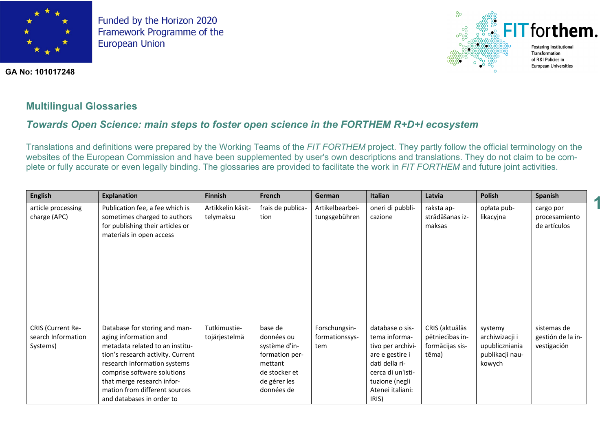

**GA No: 101017248**



**1**

## **Multilingual Glossaries**

# *Towards Open Science: main steps to foster open science in the FORTHEM R+D+I ecosystem*

Translations and definitions were prepared by the Working Teams of the *FIT FORTHEM* project. They partly follow the official terminology on the websites of the European Commission and have been supplemented by user's own descriptions and translations. They do not claim to be complete or fully accurate or even legally binding. The glossaries are provided to facilitate the work in *FIT FORTHEM* and future joint activities.

| <b>English</b>                                      | <b>Explanation</b>                                                                                                                                                                                                                                                                        | <b>Finnish</b>                 | French                                                                                                             | German                                 | <b>Italian</b>                                                                                                                                                 | Latvia                                                        | <b>Polish</b>                                                            | Spanish                                         |
|-----------------------------------------------------|-------------------------------------------------------------------------------------------------------------------------------------------------------------------------------------------------------------------------------------------------------------------------------------------|--------------------------------|--------------------------------------------------------------------------------------------------------------------|----------------------------------------|----------------------------------------------------------------------------------------------------------------------------------------------------------------|---------------------------------------------------------------|--------------------------------------------------------------------------|-------------------------------------------------|
| article processing<br>charge (APC)                  | Publication fee, a fee which is<br>sometimes charged to authors<br>for publishing their articles or<br>materials in open access                                                                                                                                                           | Artikkelin käsit-<br>telymaksu | frais de publica-<br>tion                                                                                          | Artikelbearbei-<br>tungsgebühren       | oneri di pubbli-<br>cazione                                                                                                                                    | raksta ap-<br>strādāšanas iz-<br>maksas                       | opłata pub-<br>likacyjna                                                 | cargo por<br>procesamiento<br>de artículos      |
| CRIS (Current Re-<br>search Information<br>Systems) | Database for storing and man-<br>aging information and<br>metadata related to an institu-<br>tion's research activity. Current<br>research information systems<br>comprise software solutions<br>that merge research infor-<br>mation from different sources<br>and databases in order to | Tutkimustie-<br>tojärjestelmä  | base de<br>données ou<br>système d'in-<br>formation per-<br>mettant<br>de stocker et<br>de gérer les<br>données de | Forschungsin-<br>formationssys-<br>tem | database o sis-<br>tema informa-<br>tivo per archivi-<br>are e gestire i<br>dati della ri-<br>cerca di un'isti-<br>tuzione (negli<br>Atenei italiani:<br>IRIS) | CRIS (aktuālās<br>pētniecības in-<br>formācijas sis-<br>tēma) | systemy<br>archiwizacji i<br>upubliczniania<br>publikacji nau-<br>kowych | sistemas de<br>gestión de la in-<br>vestigación |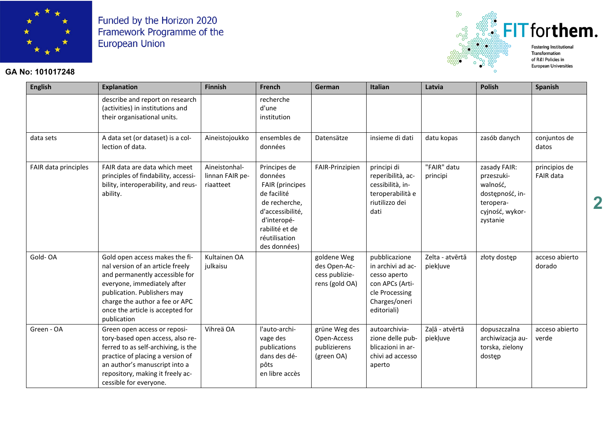

## **GA No: 101017248**



of R&I Policies in **European Universities** 

| <b>English</b>       | <b>Explanation</b>                                                                                                                                                                                                                                      | <b>Finnish</b>                                | French                                                                                                                                                                  | German                                                          | Italian                                                                                                                 | Latvia                      | <b>Polish</b>                                                                                         | <b>Spanish</b>             |
|----------------------|---------------------------------------------------------------------------------------------------------------------------------------------------------------------------------------------------------------------------------------------------------|-----------------------------------------------|-------------------------------------------------------------------------------------------------------------------------------------------------------------------------|-----------------------------------------------------------------|-------------------------------------------------------------------------------------------------------------------------|-----------------------------|-------------------------------------------------------------------------------------------------------|----------------------------|
|                      | describe and report on research<br>(activities) in institutions and<br>their organisational units.                                                                                                                                                      |                                               | recherche<br>d'une<br>institution                                                                                                                                       |                                                                 |                                                                                                                         |                             |                                                                                                       |                            |
| data sets            | A data set (or dataset) is a col-<br>lection of data.                                                                                                                                                                                                   | Aineistojoukko                                | ensembles de<br>données                                                                                                                                                 | Datensätze                                                      | insieme di dati                                                                                                         | datu kopas                  | zasób danych                                                                                          | conjuntos de<br>datos      |
| FAIR data principles | FAIR data are data which meet<br>principles of findability, accessi-<br>bility, interoperability, and reus-<br>ability.                                                                                                                                 | Aineistonhal-<br>linnan FAIR pe-<br>riaatteet | Principes de<br>données<br><b>FAIR</b> (principes<br>de facilité<br>de recherche,<br>d'accessibilité,<br>d'interopé-<br>rabilité et de<br>réutilisation<br>des données) | FAIR-Prinzipien                                                 | principi di<br>reperibilità, ac-<br>cessibilità, in-<br>teroperabilità e<br>riutilizzo dei<br>dati                      | "FAIR" datu<br>principi     | zasady FAIR:<br>przeszuki-<br>walność,<br>dostępność, in-<br>teropera-<br>cyjność, wykor-<br>zystanie | principios de<br>FAIR data |
| Gold-OA              | Gold open access makes the fi-<br>nal version of an article freely<br>and permanently accessible for<br>everyone, immediately after<br>publication. Publishers may<br>charge the author a fee or APC<br>once the article is accepted for<br>publication | Kultainen OA<br>julkaisu                      |                                                                                                                                                                         | goldene Weg<br>des Open-Ac-<br>cess publizie-<br>rens (gold OA) | pubblicazione<br>in archivi ad ac-<br>cesso aperto<br>con APCs (Arti-<br>cle Processing<br>Charges/oneri<br>editoriali) | Zelta - atvērtā<br>piekļuve | złoty dostęp                                                                                          | acceso abierto<br>dorado   |
| Green - OA           | Green open access or reposi-<br>tory-based open access, also re-<br>ferred to as self-archiving, is the<br>practice of placing a version of<br>an author's manuscript into a<br>repository, making it freely ac-<br>cessible for everyone.              | Vihreä OA                                     | l'auto-archi-<br>vage des<br>publications<br>dans des dé-<br>pôts<br>en libre accès                                                                                     | grüne Weg des<br>Open-Access<br>publizierens<br>(green OA)      | autoarchivia-<br>zione delle pub-<br>blicazioni in ar-<br>chivi ad accesso<br>aperto                                    | Zaļā - atvērtā<br>piekļuve  | dopuszczalna<br>archiwizacja au-<br>torska, zielony<br>dostęp                                         | acceso abierto<br>verde    |

**2**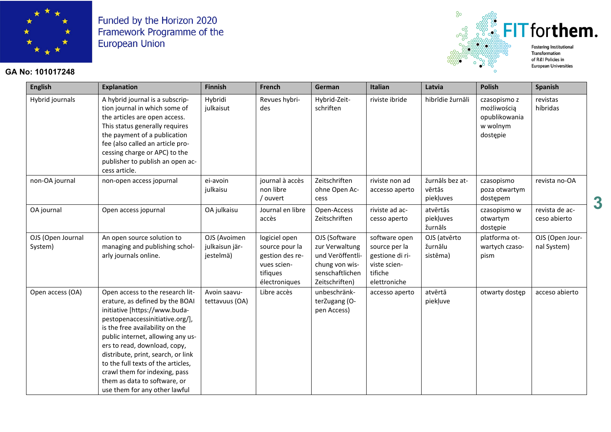

#### **GA No: 101017248**



**English Explanation Finnish French German Italian Latvia Polish Spanish** Hybrid journals  $\vert$  A hybrid journal is a subscription journal in which some of the articles are open access. This status generally requires the payment of a publication fee (also called an article processing charge or APC) to the publisher to publish an open access article. Hybridi julkaisut Revues hybrides Hybrid-Zeitschriften riviste ibride hibrīdie žurnāli czasopismo z możliwością opublikowania w wolnym dostępie revistas híbridas non-OA journal non-open access jopurnal ei-avoin julkaisu journal à accès non libre / ouvert Zeitschriften ohne Open Access riviste non ad accesso aperto žurnāls bez atvērtās piekļuves czasopismo poza otwartym dostępem revista no-OA OA journal Open access jopurnal OA julkaisu Journal en libre accès Open-Access Zeitschriften riviste ad accesso aperto atvērtās piekļuves žurnāls czasopismo w otwartym dostępie revista de acceso abierto OJS (Open Journal System) An open source solution to managing and publishing scholarly journals online. OJS (Avoimen julkaisun järjestelmä) logiciel open source pour la gestion des revues scientifiques électroniques OJS (Software zur Verwaltung und Veröffentlichung von wissenschaftlichen Zeitschriften) software open source per la gestione di riviste scientifiche elettroniche OJS (atvērto žurnālu sistēma) platforma otwartych czasopism OJS (Open Journal System) Open access (OA) Open access to the research literature, as defined by the BOAI initiative [https://www.budapestopenaccessinitiative.org/], is the free availability on the public internet, allowing any users to read, download, copy, distribute, print, search, or link to the full texts of the articles, crawl them for indexing, pass them as data to software, or use them for any other lawful Avoin saavutettavuus (OA) Libre accès lunbeschränkterZugang (Open Access)  $accesso$  aperto  $|$  atvērtā piekļuve otwarty dostęp acceso abierto

**3**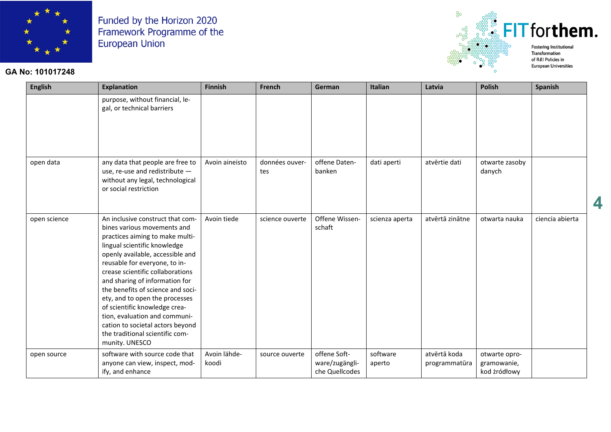

## **GA No: 101017248**



**European Universities** 

**4**

| <b>English</b> | <b>Explanation</b>                                                                                                                                                                                                                                                                                                                                                                                                                                                                                              | <b>Finnish</b>        | French                | German                                           | Italian            | Latvia                        | <b>Polish</b>                                | <b>Spanish</b>  |
|----------------|-----------------------------------------------------------------------------------------------------------------------------------------------------------------------------------------------------------------------------------------------------------------------------------------------------------------------------------------------------------------------------------------------------------------------------------------------------------------------------------------------------------------|-----------------------|-----------------------|--------------------------------------------------|--------------------|-------------------------------|----------------------------------------------|-----------------|
|                | purpose, without financial, le-<br>gal, or technical barriers                                                                                                                                                                                                                                                                                                                                                                                                                                                   |                       |                       |                                                  |                    |                               |                                              |                 |
| open data      | any data that people are free to<br>use, re-use and redistribute -<br>without any legal, technological<br>or social restriction                                                                                                                                                                                                                                                                                                                                                                                 | Avoin aineisto        | données ouver-<br>tes | offene Daten-<br>banken                          | dati aperti        | atvērtie dati                 | otwarte zasoby<br>danych                     |                 |
| open science   | An inclusive construct that com-<br>bines various movements and<br>practices aiming to make multi-<br>lingual scientific knowledge<br>openly available, accessible and<br>reusable for everyone, to in-<br>crease scientific collaborations<br>and sharing of information for<br>the benefits of science and soci-<br>ety, and to open the processes<br>of scientific knowledge crea-<br>tion, evaluation and communi-<br>cation to societal actors beyond<br>the traditional scientific com-<br>munity. UNESCO | Avoin tiede           | science ouverte       | Offene Wissen-<br>schaft                         | scienza aperta     | atvērtā zinātne               | otwarta nauka                                | ciencia abierta |
| open source    | software with source code that<br>anyone can view, inspect, mod-<br>ify, and enhance                                                                                                                                                                                                                                                                                                                                                                                                                            | Avoin lähde-<br>koodi | source ouverte        | offene Soft-<br>ware/zugängli-<br>che Quellcodes | software<br>aperto | atvērtā koda<br>programmatūra | otwarte opro-<br>gramowanie,<br>kod żródłowy |                 |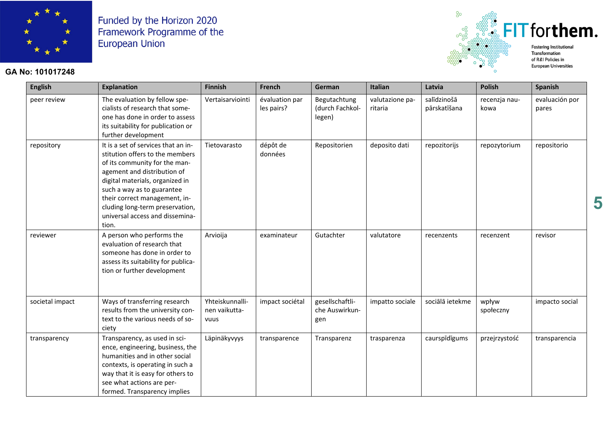

#### **GA No: 101017248**



**English Explanation Finnish French German Italian Latvia Polish Spanish** peer review  $\vert$  The evaluation by fellow specialists of research that someone has done in order to assess its suitability for publication or further development Vertaisarviointi évaluation par les pairs? Begutachtung (durch Fachkollegen) valutazione paritaria salīdzinošā pārskatīšana recenzja naukowa evaluación por pares repository  $\vert$  It is a set of services that an institution offers to the members of its community for the management and distribution of digital materials, organized in such a way as to guarantee their correct management, including long-term preservation, universal access and dissemination. Tietovarasto dépôt de données  $Reposition$  deposito dati repozitorijs repozytorium repositorio reviewer  $\vert$  A person who performs the evaluation of research that someone has done in order to assess its suitability for publication or further development Arvioija examinateur Gutachter valutatore recenzents recenzent revisor societal impact Ways of transferring research results from the university context to the various needs of society Yhteiskunnallinen vaikuttavuus impact sociétal | gesellschaftliche Auswirkungen  $im$ patto sociale  $\parallel$  sociālā ietekme  $\parallel$  wpływ społeczny impacto social transparency Transparency, as used in science, engineering, business, the humanities and in other social contexts, is operating in such a way that it is easy for others to see what actions are performed. Transparency implies Läpinäkyvyys | transparence | Transparenz | trasparenza | caurspīdīgums | przejrzystość | transparencia